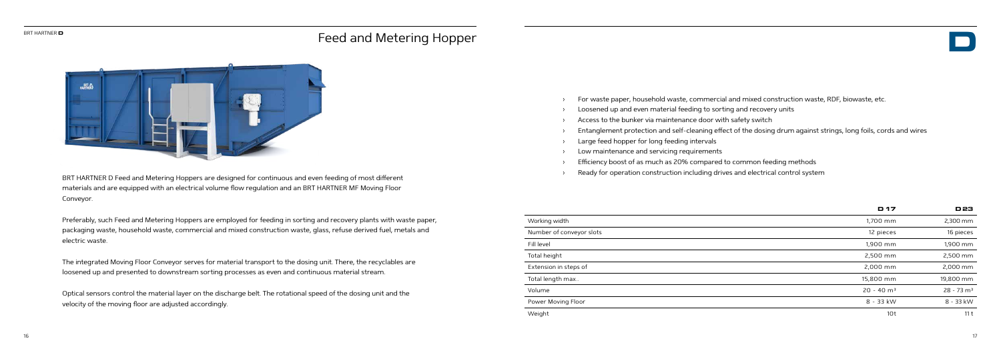- › For waste paper, household waste, commercial and mixed construction waste, RDF, biowaste, etc.
- Loosened up and even material feeding to sorting and recovery units
- Access to the bunker via maintenance door with safety switch
- › Entanglement protection and self-cleaning effect of the dosing drum against strings, long foils, cords and wires
- Large feed hopper for long feeding intervals
- Low maintenance and servicing requirements
- Efficiency boost of as much as 20% compared to common feeding methods
- BRT HARTNER D Feed and Metering Hoppers are designed for continuous and even feeding of most different and the strategy and the strategy of most different and the strategy of most different and the strategy of most differe

## BRT HARTNER **D**

## **D**

materials and are equipped with an electrical volume flow regulation and an BRT HARTNER MF Moving Floor Conveyor.

Preferably, such Feed and Metering Hoppers are employed for feeding in sorting and recovery plants with waste paper, packaging waste, household waste, commercial and mixed construction waste, glass, refuse derived fuel, metals and electric waste.

The integrated Moving Floor Conveyor serves for material transport to the dosing unit. There, the recyclables are loosened up and presented to downstream sorting processes as even and continuous material stream.

Optical sensors control the material layer on the discharge belt. The rotational speed of the dosing unit and the velocity of the moving floor are adjusted accordingly.

|                          | <b>D17</b>               | <b>D23</b>               |
|--------------------------|--------------------------|--------------------------|
| Working width            | 1,700 mm                 | 2,300 mm                 |
| Number of conveyor slots | 12 pieces                | 16 pieces                |
| Fill level               | 1,900 mm                 | 1,900 mm                 |
| Total height             | 2,500 mm                 | 2,500 mm                 |
| Extension in steps of    | 2,000 mm                 | 2,000 mm                 |
| Total length max         | 15,800 mm                | 19,800 mm                |
| Volume                   | $20 - 40$ m <sup>3</sup> | $28 - 73$ m <sup>3</sup> |
| Power Moving Floor       | 8 - 33 kW                | 8 - 33 kW                |
| Weight                   | 10 <sub>t</sub>          | 11 <sup>†</sup>          |

## Feed and Metering Hopper